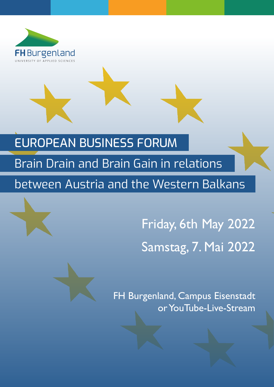

# EUROPEAN BUSINESS FORUM

# Brain Drain and Brain Gain in relations between Austria and the Western Balkans





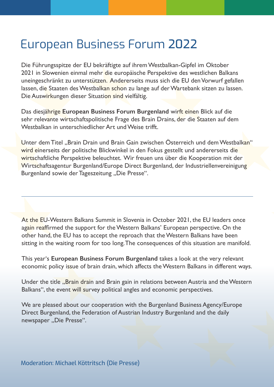# European Business Forum 2022

Die Führungsspitze der EU bekräftigte auf ihrem Westbalkan-Gipfel im Oktober 2021 in Slowenien einmal mehr die europäische Perspektive des westlichen Balkans uneingeschränkt zu unterstützen. Andererseits muss sich die EU den Vorwurf gefallen lassen, die Staaten des Westbalkan schon zu lange auf der Wartebank sitzen zu lassen. Die Auswirkungen dieser Situation sind vielfältig.

Das diesjährige **European Business Forum Burgenland** wirft einen Blick auf die sehr relevante wirtschaftspolitische Frage des Brain Drains, der die Staaten auf dem Westbalkan in unterschiedlicher Art und Weise trifft.

Unter dem Titel "Brain Drain und Brain Gain zwischen Österreich und dem Westbalkan" wird einerseits der politische Blickwinkel in den Fokus gestellt und andererseits die wirtschaftliche Perspektive beleuchtet. Wir freuen uns über die Kooperation mit der Wirtschaftsagentur Burgenland/Europe Direct Burgenland, der Industriellenvereinigung Burgenland sowie der Tageszeitung "Die Presse".

At the EU-Western Balkans Summit in Slovenia in October 2021, the EU leaders once again reaffirmed the support for the Western Balkans' European perspective. On the other hand, the EU has to accept the reproach that the Western Balkans have been sitting in the waiting room for too long. The consequences of this situation are manifold.

This year's **European Business Forum Burgenland** takes a look at the very relevant economic policy issue of brain drain, which affects the Western Balkans in different ways.

Under the title "Brain drain and Brain gain in relations between Austria and the Western Balkans", the event will survey political angles and economic perspectives.

We are pleased about our cooperation with the Burgenland Business Agency/Europe Direct Burgenland, the Federation of Austrian Industry Burgenland and the daily newspaper "Die Presse".